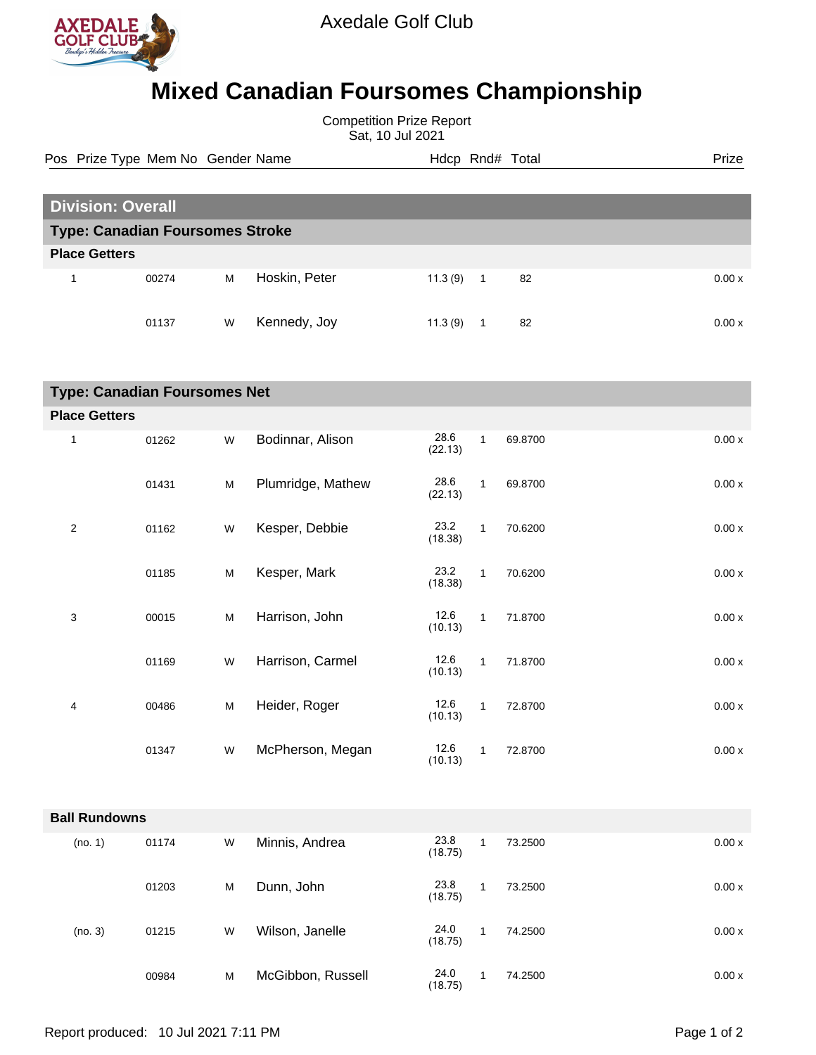

## **Mixed Canadian Foursomes Championship**

Competition Prize Report Sat, 10 Jul 2021

Pos Prize Type Mem No Gender Name **Hdcp Rnd# Total** Prize Prize

|                                        | <b>Division: Overall</b> |                                                                                       |                   |                 |              |         |       |  |  |
|----------------------------------------|--------------------------|---------------------------------------------------------------------------------------|-------------------|-----------------|--------------|---------|-------|--|--|
| <b>Type: Canadian Foursomes Stroke</b> |                          |                                                                                       |                   |                 |              |         |       |  |  |
| <b>Place Getters</b>                   |                          |                                                                                       |                   |                 |              |         |       |  |  |
| $\mathbf{1}$                           | 00274                    | ${\sf M}$                                                                             | Hoskin, Peter     | 11.3(9)         | $\mathbf{1}$ | 82      | 0.00x |  |  |
|                                        | 01137                    | W                                                                                     | Kennedy, Joy      | 11.3(9)         | $\mathbf{1}$ | 82      | 0.00x |  |  |
| <b>Type: Canadian Foursomes Net</b>    |                          |                                                                                       |                   |                 |              |         |       |  |  |
| <b>Place Getters</b>                   |                          |                                                                                       |                   |                 |              |         |       |  |  |
| 1                                      | 01262                    | W                                                                                     | Bodinnar, Alison  | 28.6<br>(22.13) | $\mathbf{1}$ | 69.8700 | 0.00x |  |  |
|                                        | 01431                    | $\mathsf{M}% _{T}=\mathsf{M}_{T}\!\left( a,b\right) ,\ \mathsf{M}_{T}=\mathsf{M}_{T}$ | Plumridge, Mathew | 28.6<br>(22.13) | $\mathbf{1}$ | 69.8700 | 0.00x |  |  |
| $\overline{2}$                         | 01162                    | W                                                                                     | Kesper, Debbie    | 23.2<br>(18.38) | $\mathbf{1}$ | 70.6200 | 0.00x |  |  |
|                                        | 01185                    | M                                                                                     | Kesper, Mark      | 23.2<br>(18.38) | $\mathbf{1}$ | 70.6200 | 0.00x |  |  |
| 3                                      | 00015                    | M                                                                                     | Harrison, John    | 12.6<br>(10.13) | $\mathbf{1}$ | 71.8700 | 0.00x |  |  |
|                                        | 01169                    | W                                                                                     | Harrison, Carmel  | 12.6<br>(10.13) | $\mathbf{1}$ | 71.8700 | 0.00x |  |  |
| 4                                      | 00486                    | M                                                                                     | Heider, Roger     | 12.6<br>(10.13) | $\mathbf{1}$ | 72.8700 | 0.00x |  |  |
|                                        | 01347                    | W                                                                                     | McPherson, Megan  | 12.6<br>(10.13) | $\mathbf{1}$ | 72.8700 | 0.00x |  |  |
|                                        |                          |                                                                                       |                   |                 |              |         |       |  |  |
| <b>Ball Rundowns</b>                   |                          |                                                                                       |                   |                 |              |         |       |  |  |
| (no. 1)                                | 01174                    | ${\sf W}$                                                                             | Minnis, Andrea    | 23.8<br>(18.75) | $\mathbf{1}$ | 73.2500 | 0.00x |  |  |
|                                        | 01203                    | M                                                                                     | Dunn, John        | 23.8<br>(18.75) | $\mathbf{1}$ | 73.2500 | 0.00x |  |  |
| (no. 3)                                | 01215                    | W                                                                                     | Wilson, Janelle   | 24.0<br>(18.75) | $\mathbf{1}$ | 74.2500 | 0.00x |  |  |
|                                        | 00984                    | M                                                                                     | McGibbon, Russell | 24.0<br>(18.75) | $\mathbf{1}$ | 74.2500 | 0.00x |  |  |